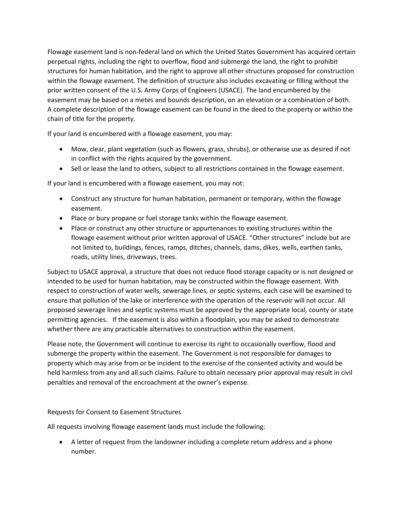Flowage easement land is non-federal land on which the United States Government has acquired certain perpetual rights, including the right to overflow, flood and submerge the land, the right to prohibit structures for human habitation, and the right to approve all other structures proposed for construction within the flowage easement. The definition of structure also includes excavating or filling without the prior written consent of the U.S. Army Corps of Engineers (USACE). The land encumbered by the easement may be based on a metes and bounds description, on an elevation or a combination of both. A complete description of the flowage easement can be found in the deed to the property or within the chain of title for the property.

If your land is encumbered with a flowage easement, you may:

- Mow, clear, plant vegetation (such as flowers, grass, shrubs), or otherwise use as desired if not in conflict with the rights acquired by the government.
- Sell or lease the land to others, subject to all restrictions contained in the flowage easement.

If your land is encumbered with a flowage easement, you may not:

- Construct any structure for human habitation, permanent or temporary, within the flowage easement.
- Place or bury propane or fuel storage tanks within the flowage easement.
- Place or construct any other structure or appurtenances to existing structures within the flowage easement without prior written approval of USACE. "Other structures" include but are not limited to, buildings, fences, ramps, ditches, channels, dams, dikes, wells, earthen tanks, roads, utility lines, driveways, trees.

Subject to USACE approval, a structure that does not reduce flood storage capacity or is not designed or intended to be used for human habitation, may be constructed within the flowage easement. With respect to construction of water wells, sewerage lines, or septic systems, each case will be examined to ensure that pollution of the lake or interference with the operation of the reservoir will not occur. All proposed sewerage lines and septic systems must be approved by the appropriate local, county or state permitting agencies. If the easement is also within a floodplain, you may be asked to demonstrate whether there are any practicable alternatives to construction within the easement.

Please note, the Government will continue to exercise its right to occasionally overflow, flood and submerge the property within the easement. The Government is not responsible for damages to property which may arise from or be incident to the exercise of the consented activity and would be held harmless from any and all such claims. Failure to obtain necessary prior approval may result in civil penalties and removal of the encroachment at the owner's expense.

## Requests for Consent to Easement Structures

All requests involving flowage easement lands must include the following:

• A letter of request from the landowner including a complete return address and a phone number.